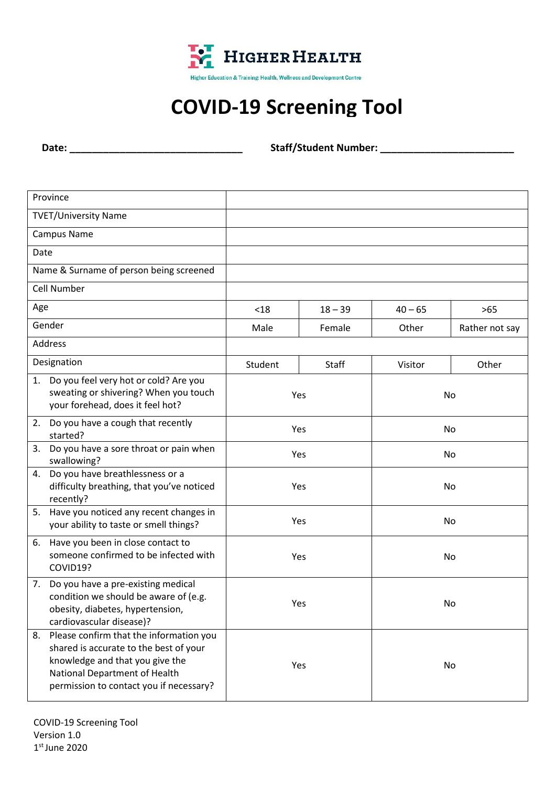

## **COVID-19 Screening Tool**

**Date: \_\_\_\_\_\_\_\_\_\_\_\_\_\_\_\_\_\_\_\_\_\_\_\_\_\_\_\_\_\_\_ Staff/Student Number: \_\_\_\_\_\_\_\_\_\_\_\_\_\_\_\_\_\_\_\_\_\_\_\_**

| Province                                                                                                                                                                                               |         |           |           |                |  |
|--------------------------------------------------------------------------------------------------------------------------------------------------------------------------------------------------------|---------|-----------|-----------|----------------|--|
| <b>TVET/University Name</b>                                                                                                                                                                            |         |           |           |                |  |
| <b>Campus Name</b>                                                                                                                                                                                     |         |           |           |                |  |
| Date                                                                                                                                                                                                   |         |           |           |                |  |
| Name & Surname of person being screened                                                                                                                                                                |         |           |           |                |  |
| Cell Number                                                                                                                                                                                            |         |           |           |                |  |
| Age                                                                                                                                                                                                    | $18$    | $18 - 39$ | $40 - 65$ | $>65$          |  |
| Gender                                                                                                                                                                                                 | Male    | Female    | Other     | Rather not say |  |
| <b>Address</b>                                                                                                                                                                                         |         |           |           |                |  |
| Designation                                                                                                                                                                                            | Student | Staff     | Visitor   | Other          |  |
| Do you feel very hot or cold? Are you<br>1.<br>sweating or shivering? When you touch<br>your forehead, does it feel hot?                                                                               |         | Yes<br>No |           |                |  |
| 2. Do you have a cough that recently<br>started?                                                                                                                                                       |         | Yes       |           | No             |  |
| Do you have a sore throat or pain when<br>3.<br>swallowing?                                                                                                                                            |         | Yes       |           | No             |  |
| 4. Do you have breathlessness or a<br>difficulty breathing, that you've noticed<br>recently?                                                                                                           |         | Yes       |           | No             |  |
| Have you noticed any recent changes in<br>5.<br>your ability to taste or smell things?                                                                                                                 |         | Yes       |           | No             |  |
| Have you been in close contact to<br>6.<br>someone confirmed to be infected with<br>COVID19?                                                                                                           |         | Yes       |           | No             |  |
| Do you have a pre-existing medical<br>7.<br>condition we should be aware of (e.g.<br>obesity, diabetes, hypertension,<br>cardiovascular disease)?                                                      |         | Yes       |           | No             |  |
| Please confirm that the information you<br>8.<br>shared is accurate to the best of your<br>knowledge and that you give the<br>National Department of Health<br>permission to contact you if necessary? |         | Yes       |           | No             |  |